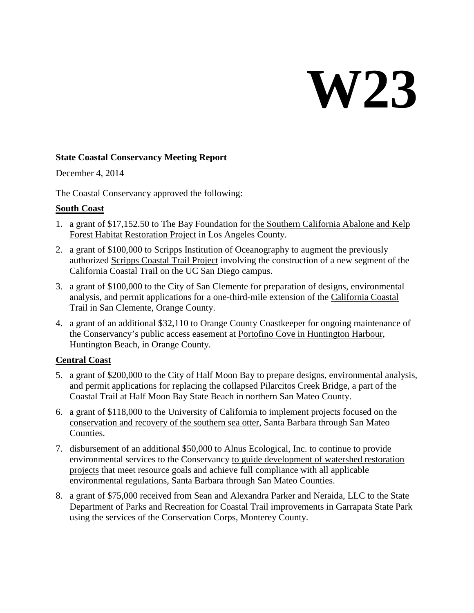# **W23**

### **State Coastal Conservancy Meeting Report**

December 4, 2014

The Coastal Conservancy approved the following:

# **South Coast**

- 1. a grant of \$17,152.50 to The Bay Foundation for the Southern California Abalone and Kelp Forest Habitat Restoration Project in Los Angeles County.
- 2. a grant of \$100,000 to Scripps Institution of Oceanography to augment the previously authorized Scripps Coastal Trail Project involving the construction of a new segment of the California Coastal Trail on the UC San Diego campus.
- 3. a grant of \$100,000 to the City of San Clemente for preparation of designs, environmental analysis, and permit applications for a one-third-mile extension of the California Coastal Trail in San Clemente, Orange County.
- 4. a grant of an additional \$32,110 to Orange County Coastkeeper for ongoing maintenance of the Conservancy's public access easement at Portofino Cove in Huntington Harbour, Huntington Beach, in Orange County.

# **Central Coast**

- 5. a grant of \$200,000 to the City of Half Moon Bay to prepare designs, environmental analysis, and permit applications for replacing the collapsed Pilarcitos Creek Bridge, a part of the Coastal Trail at Half Moon Bay State Beach in northern San Mateo County.
- 6. a grant of \$118,000 to the University of California to implement projects focused on the conservation and recovery of the southern sea otter, Santa Barbara through San Mateo Counties.
- 7. disbursement of an additional \$50,000 to Alnus Ecological, Inc. to continue to provide environmental services to the Conservancy to guide development of watershed restoration projects that meet resource goals and achieve full compliance with all applicable environmental regulations, Santa Barbara through San Mateo Counties.
- 8. a grant of \$75,000 received from Sean and Alexandra Parker and Neraida, LLC to the State Department of Parks and Recreation for Coastal Trail improvements in Garrapata State Park using the services of the Conservation Corps, Monterey County.